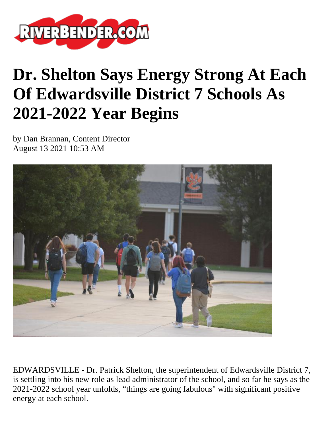

## **Dr. Shelton Says Energy Strong At Each Of Edwardsville District 7 Schools As 2021-2022 Year Begins**

by Dan Brannan, Content Director August 13 2021 10:53 AM



EDWARDSVILLE - Dr. Patrick Shelton, the superintendent of Edwardsville District 7, is settling into his new role as lead administrator of the school, and so far he says as the 2021-2022 school year unfolds, "things are going fabulous" with significant positive energy at each school.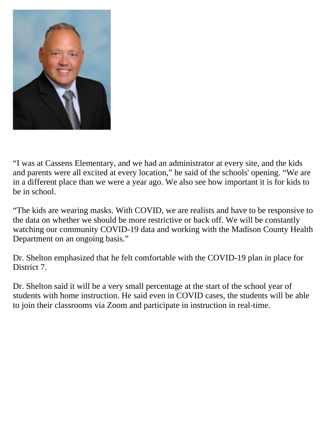

"I was at Cassens Elementary, and we had an administrator at every site, and the kids and parents were all excited at every location," he said of the schools' opening. "We are in a different place than we were a year ago. We also see how important it is for kids to be in school.

"The kids are wearing masks. With COVID, we are realists and have to be responsive to the data on whether we should be more restrictive or back off. We will be constantly watching our community COVID-19 data and working with the Madison County Health Department on an ongoing basis."

Dr. Shelton emphasized that he felt comfortable with the COVID-19 plan in place for District 7.

Dr. Shelton said it will be a very small percentage at the start of the school year of students with home instruction. He said even in COVID cases, the students will be able to join their classrooms via Zoom and participate in instruction in real-time.